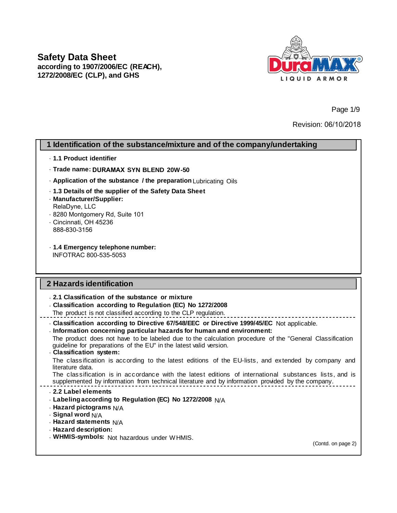

Page 1/9

Revision: 06/10/2018

# **1 Identification of the substance/mixture and of the company/undertaking**

- · **1.1 Product identifier**
- · **Trade name: DURAMAX SYN BLEND 20W-50**
- · **Application of the substance / the preparation** Lubricating Oils
- · **1.3 Details of the supplier of the Safety Data Sheet**

· **Manufacturer/Supplier:** RelaDyne, LLC

- · 8280 Montgomery Rd, Suite 101
- · Cincinnati, OH 45236 888-830-3156
- · **1.4 Emergency telephone number:** INFOTRAC 800-535-5053

### **2 Hazards identification**

· **2.1 Classification of the substance or mixture**

· **Classification according to Regulation (EC) No 1272/2008**

The product is not classified according to the CLP regulation.

· **Classification according to Directive 67/548/EEC or Directive 1999/45/EC** Not applicable.

· **Information concerning particular hazards for human and environment:**

The product does not have to be labeled due to the calculation procedure of the "General Classification guideline for preparations of the EU" in the latest valid version.

## · **Classification system:**

The classification is according to the latest editions of the EU-lists, and extended by company and literature data.

The classification is in accordance with the latest editions of international substances lists, and is supplemented by information from technical literature and by information provided by the company.

### · **2.2 Label elements**

- · **Labeling according to Regulation (EC) No 1272/2008** N/A
- · **Hazard pictograms** N/A
- · **Signal word** N/A
- · **Hazard statements** N/A
- · **Hazard description:**
- · **WHMIS-symbols:** Not hazardous under WHMIS.

(Contd. on page 2)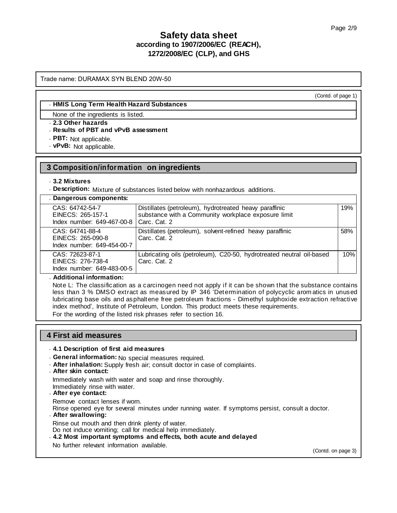Trade name: DURAMAX SYN BLEND 20W-50

(Contd. of page 1)

#### · **HMIS Long Term Health Hazard Substances**

None of the ingredients is listed.

### · **2.3 Other hazards**

- · **Results of PBT and vPvB assessment**
- · **PBT:** Not applicable.
- · **vPvB:** Not applicable.

## **3 Composition/information on ingredients**

#### · **3.2 Mixtures**

· **Description:** Mixture of substances listed below with nonhazardous additions.

| . Dangerous components:                                            |                                                                                                                               |     |
|--------------------------------------------------------------------|-------------------------------------------------------------------------------------------------------------------------------|-----|
| CAS: 64742-54-7<br>EINECS: 265-157-1<br>Index number: 649-467-00-8 | Distillates (petroleum), hydrotreated heavy paraffinic<br>substance with a Community workplace exposure limit<br>Carc. Cat. 2 | 19% |
| CAS: 64741-88-4<br>EINECS: 265-090-8<br>Index number: 649-454-00-7 | Distillates (petroleum), solvent-refined heavy paraffinic<br>Carc. Cat. 2                                                     | 58% |
| CAS: 72623-87-1<br>EINECS: 276-738-4<br>Index number: 649-483-00-5 | Lubricating oils (petroleum), C20-50, hydrotreated neutral oil-based<br>Carc. Cat. 2                                          | 10% |

#### · **Additional information:**

Note L: The classification as a carcinogen need not apply if it can be shown that the substance contains less than 3 % DMSO extract as measured by IP 346 'Determination of polycyclic arom atics in unused lubricating base oils and asphaltene free petroleum fractions - Dimethyl sulphoxide extraction refractive index method', Institute of Petroleum, London. This product meets these requirements. For the wording of the listed risk phrases refer to section 16.

### **4 First aid measures**

### · **4.1 Description of first aid measures**

· **General information:** No special measures required.

· **After inhalation:** Supply fresh air; consult doctor in case of complaints.

### · **After skin contact:**

Immediately wash with water and soap and rinse thoroughly.

Immediately rinse with water.

#### · **After eye contact:**

Remove contact lenses if worn.

Rinse opened eye for several minutes under running water. If symptoms persist, consult a doctor.

#### · **After swallowing:**

Rinse out mouth and then drink plenty of water.

Do not induce vomiting; call for medical help immediately.

## · **4.2 Most important symptoms and effects, both acute and delayed**

No further relevant information available.

(Contd. on page 3)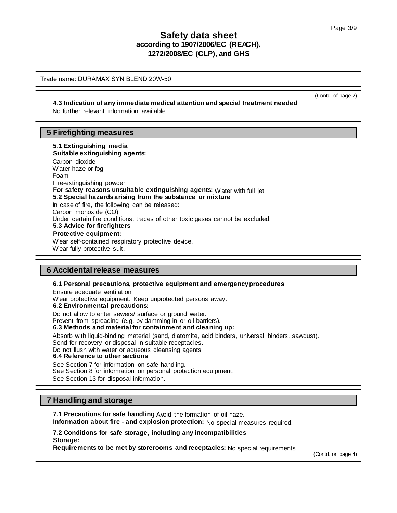(Contd. of page 2)

# **Safety data sheet according to 1907/2006/EC (REACH), 1272/2008/EC (CLP), and GHS**

Trade name: DURAMAX SYN BLEND 20W-50

### · **4.3 Indication of any immediate medical attention and special treatment needed**

No further relevant information available.

## **5 Firefighting measures**

- · **5.1 Extinguishing media**
- · **Suitable extinguishing agents:** Carbon dioxide Water haze or fog Foam
- Fire-extinguishing powder
- · **For safety reasons unsuitable extinguishing agents:** Water with full jet
- · **5.2 Special hazards arising from the substance or mixture**

In case of fire, the following can be released: Carbon monoxide (CO) Under certain fire conditions, traces of other toxic gases cannot be excluded. · **5.3 Advice for firefighters**

· **Protective equipment:**

Wear self-contained respiratory protective device.

Wear fully protective suit.

### **6 Accidental release measures**

· **6.1 Personal precautions, protective equipment and emergency procedures**

Ensure adequate ventilation

- Wear protective equipment. Keep unprotected persons away.
- · **6.2 Environmental precautions:**

Do not allow to enter sewers/ surface or ground water.

Prevent from spreading (e.g. by damming-in or oil barriers).

· **6.3 Methods and material for containment and cleaning up:**

Absorb with liquid-binding material (sand, diatomite, acid binders, universal binders, sawdust).

Send for recovery or disposal in suitable receptacles. Do not flush with water or aqueous cleansing agents

- · **6.4 Reference to other sections**
- 

See Section 7 for information on safe handling.

See Section 8 for information on personal protection equipment.

See Section 13 for disposal information.

## **7 Handling and storage**

- · **7.1 Precautions for safe handling** Avoid the formation of oil haze.
- · **Information about fire and explosion protection:** No special measures required.
- · **7.2 Conditions for safe storage, including any incompatibilities**
- · **Storage:**
- · **Requirements to be met by storerooms and receptacles:** No special requirements.

(Contd. on page 4)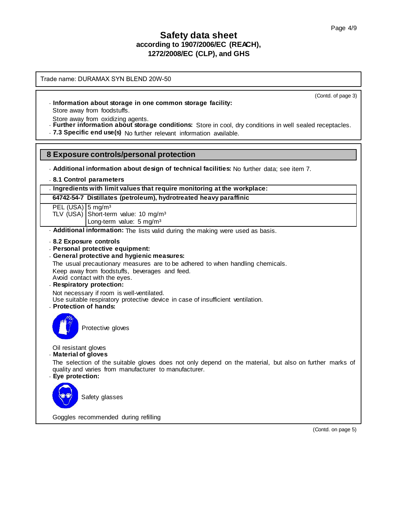Trade name: DURAMAX SYN BLEND 20W-50

(Contd. of page 3)

· **Information about storage in one common storage facility:**

Store away from foodstuffs.

Store away from oxidizing agents.

- · **Further information about storage conditions:** Store in cool, dry conditions in well sealed receptacles.
- · **7.3 Specific end use(s)** No further relevant information available.

### **8 Exposure controls/personal protection**

- · **Additional information about design of technical facilities:** No further data; see item 7.
- · **8.1 Control parameters**

#### · **Ingredients with limit values that require monitoring at the workplace:**

- **64742-54-7 Distillates (petroleum), hydrotreated heavy paraffinic**
- PEL (USA) 5 mg/m<sup>3</sup>
- TLV (USA) Short-term value: 10 mg/m<sup>3</sup>
	- Long-term value: 5 mg/m<sup>3</sup>
- · **Additional information:** The lists valid during the making were used as basis.
- · **8.2 Exposure controls**
- · **Personal protective equipment:**
- · **General protective and hygienic measures:**

The usual precautionary measures are to be adhered to when handling chemicals.

Keep away from foodstuffs, beverages and feed.

- Avoid contact with the eyes.
- · **Respiratory protection:**

Not necessary if room is well-ventilated.

- Use suitable respiratory protective device in case of insufficient ventilation.
- · **Protection of hands:**



Protective gloves

Oil resistant gloves

· **Material of gloves**

The selection of the suitable gloves does not only depend on the material, but also on further marks of quality and varies from manufacturer to manufacturer.

· **Eye protection:**

Safety glasses

Goggles recommended during refilling

(Contd. on page 5)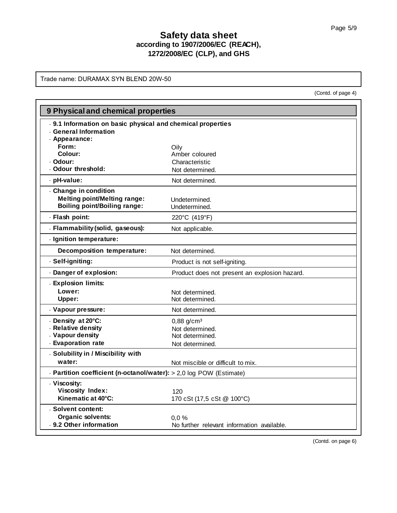Trade name: DURAMAX SYN BLEND 20W-50

(Contd. of page 4)

| 9 Physical and chemical properties                                  |                                               |  |  |
|---------------------------------------------------------------------|-----------------------------------------------|--|--|
| . 9.1 Information on basic physical and chemical properties         |                                               |  |  |
| <b>General Information</b><br>. Appearance:                         |                                               |  |  |
| Form:                                                               | Oily                                          |  |  |
| Colour:                                                             | Amber coloured                                |  |  |
| · Odour:                                                            | Characteristic                                |  |  |
| . Odour threshold:                                                  | Not determined.                               |  |  |
| · pH-value:                                                         | Not determined.                               |  |  |
| . Change in condition<br><b>Melting point/Melting range:</b>        |                                               |  |  |
| <b>Boiling point/Boiling range:</b>                                 | Undetermined.<br>Undetermined.                |  |  |
| · Flash point:                                                      | 220°C (419°F)                                 |  |  |
| . Flammability (solid, gaseous):                                    | Not applicable.                               |  |  |
| - Ignition temperature:                                             |                                               |  |  |
| <b>Decomposition temperature:</b>                                   | Not determined.                               |  |  |
| · Self-igniting:                                                    | Product is not self-igniting.                 |  |  |
| Danger of explosion:                                                | Product does not present an explosion hazard. |  |  |
| . Explosion limits:                                                 |                                               |  |  |
| Lower:                                                              | Not determined.                               |  |  |
| Upper:                                                              | Not determined.                               |  |  |
| . Vapour pressure:                                                  | Not determined.                               |  |  |
| . Density at 20°C:                                                  | $0,88$ g/cm <sup>3</sup>                      |  |  |
| . Relative density<br>. Vapour density                              | Not determined.                               |  |  |
| . Evaporation rate                                                  | Not determined.<br>Not determined.            |  |  |
| . Solubility in / Miscibility with                                  |                                               |  |  |
| water:                                                              | Not miscible or difficult to mix.             |  |  |
| - Partition coefficient (n-octanol/water): > 2,0 log POW (Estimate) |                                               |  |  |
| . Viscosity:                                                        |                                               |  |  |
| <b>Viscosity Index:</b>                                             | 120                                           |  |  |
| Kinematic at 40°C:                                                  | 170 cSt (17,5 cSt @ 100°C)                    |  |  |
| . Solvent content:                                                  |                                               |  |  |
| <b>Organic solvents:</b>                                            | 0.0%                                          |  |  |
| . 9.2 Other information                                             | No further relevant information available.    |  |  |

(Contd. on page 6)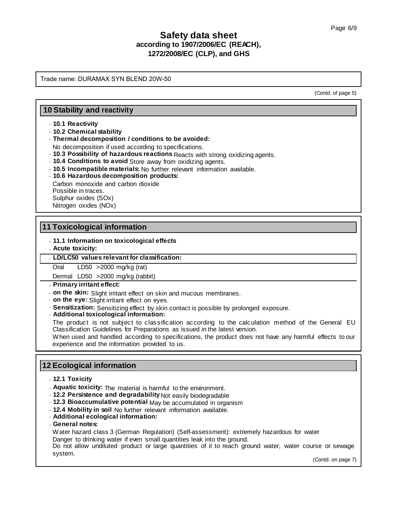Trade name: DURAMAX SYN BLEND 20W-50

(Contd. of page 5)

## **10 Stability and reactivity**

### · **10.1 Reactivity**

· **10.2 Chemical stability**

### · **Thermal decomposition / conditions to be avoided:**

No decomposition if used according to specifications.

- · **10.3 Possibility of hazardous reactions** Reacts with strong oxidizing agents.
- · **10.4 Conditions to avoid** Store away from oxidizing agents.
- · **10.5 Incompatible materials:** No further relevant information available.

## · **10.6 Hazardous decomposition products:**

Carbon monoxide and carbon dioxide Possible in traces. Sulphur oxides (SOx) Nitrogen oxides (NOx)

## **11 Toxicological information**

### · **11.1 Information on toxicological effects**

### · **Acute toxicity:**

### · **LD/LC50 values relevant for classification:**

Oral LD50 >2000 mg/kg (rat)

Dermal LD50 >2000 mg/kg (rabbit)

### · **Primary irritant effect:**

- · **on the skin:** Slight irritant effect on skin and mucous membranes.
- · **on the eye:** Slight irritant effect on eyes.
- · **Sensitization:** Sensitizing effect by skin contact is possible by prolonged exposure.

· **Additional toxicological information:**

The product is not subject to classification according to the calculation method of the General EU Classification Guidelines for Preparations as issued in the latest version.

When used and handled according to specifications, the product does not have any harmful effects to our experience and the information provided to us.

## **12 Ecological information**

- · **12.1 Toxicity**
- · **Aquatic toxicity:** The material is harmful to the environment.
- · **12.2 Persistence and degradability** Not easily biodegradable
- · **12.3 Bioaccumulative potential** May be accumulated in organism
- · **12.4 Mobility in soil** No further relevant information available.
- · **Additional ecological information:**
- · **General notes:**

Water hazard class 3 (German Regulation) (Self-assessment): extremely hazardous for water Danger to drinking water if even small quantities leak into the ground.

Do not allow undiluted product or large quantities of it to reach ground water, water course or sewage system.

(Contd. on page 7)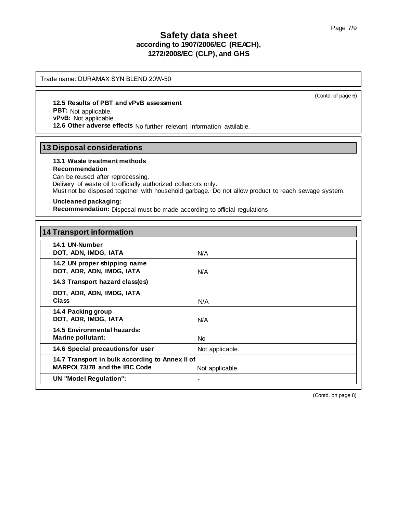Trade name: DURAMAX SYN BLEND 20W-50

#### · **12.5 Results of PBT and vPvB assessment**

· **PBT:** Not applicable.

· **vPvB:** Not applicable.

· **12.6 Other adverse effects** No further relevant information available.

## **13 Disposal considerations**

#### · **13.1 Waste treatment methods**

### · **Recommendation**

Can be reused after reprocessing. Delivery of waste oil to officially authorized collectors only. Must not be disposed together with household garbage. Do not allow product to reach sewage system.

### · **Uncleaned packaging:**

· **Recommendation:** Disposal must be made according to official regulations.

| <b>14 Transport information</b>                                                   |                 |
|-----------------------------------------------------------------------------------|-----------------|
| . 14.1 UN-Number<br>. DOT, ADN, IMDG, IATA                                        | N/A             |
| . 14.2 UN proper shipping name<br>. DOT, ADR, ADN, IMDG, IATA                     | N/A             |
| . 14.3 Transport hazard class(es)                                                 |                 |
| . DOT, ADR, ADN, IMDG, IATA<br>. Class                                            | N/A             |
| . 14.4 Packing group<br>. DOT, ADR, IMDG, IATA                                    | N/A             |
| . 14.5 Environmental hazards:<br>Marine pollutant:                                | No.             |
| . 14.6 Special precautions for user                                               | Not applicable. |
| . 14.7 Transport in bulk according to Annex II of<br>MARPOL73/78 and the IBC Code | Not applicable. |
| . UN "Model Regulation":                                                          |                 |

(Contd. on page 8)

(Contd. of page 6)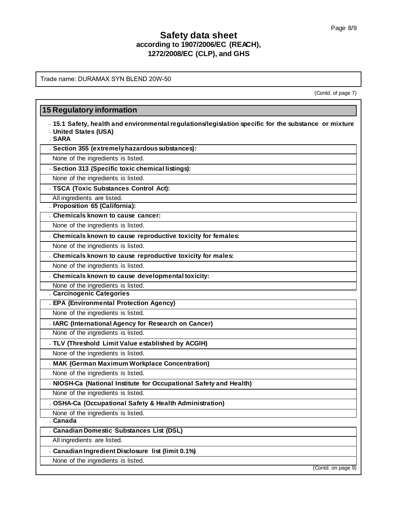Trade name: DURAMAX SYN BLEND 20W-50

(Contd. of page 7)

H

| - 15.1 Safety, health and environmental regulations/legislation specific for the substance or mixture<br>. United States (USA)<br>. SARA |  |
|------------------------------------------------------------------------------------------------------------------------------------------|--|
| . Section 355 (extremely hazardous substances):                                                                                          |  |
| None of the ingredients is listed.                                                                                                       |  |
| . Section 313 (Specific toxic chemical listings):                                                                                        |  |
| None of the ingredients is listed.                                                                                                       |  |
| . TSCA (Toxic Substances Control Act):                                                                                                   |  |
| All ingredients are listed.                                                                                                              |  |
| . Proposition 65 (California):                                                                                                           |  |
| . Chemicals known to cause cancer:                                                                                                       |  |
| None of the ingredients is listed.                                                                                                       |  |
| Chemicals known to cause reproductive toxicity for females:                                                                              |  |
| None of the ingredients is listed.                                                                                                       |  |
| . Chemicals known to cause reproductive toxicity for males:                                                                              |  |
| None of the ingredients is listed.                                                                                                       |  |
| . Chemicals known to cause developmental toxicity:                                                                                       |  |
| None of the ingredients is listed.                                                                                                       |  |
| . Carcinogenic Categories                                                                                                                |  |
| . EPA (Environmental Protection Agency)                                                                                                  |  |
| None of the ingredients is listed.                                                                                                       |  |
| . IARC (International Agency for Research on Cancer)                                                                                     |  |
| None of the ingredients is listed.                                                                                                       |  |
| . TLV (Threshold Limit Value established by ACGIH)                                                                                       |  |
| None of the ingredients is listed.                                                                                                       |  |
| . MAK (German Maximum Workplace Concentration)                                                                                           |  |
| None of the ingredients is listed.                                                                                                       |  |
| NIOSH-Ca (National Institute for Occupational Safety and Health)                                                                         |  |
| None of the ingredients is listed.                                                                                                       |  |
| . OSHA-Ca (Occupational Safety & Health Administration)                                                                                  |  |
| None of the ingredients is listed.                                                                                                       |  |
| . Canada                                                                                                                                 |  |
| . Canadian Domestic Substances List (DSL)                                                                                                |  |
| All ingredients are listed.                                                                                                              |  |
| Canadian Ingredient Disclosure list (limit 0.1%)                                                                                         |  |
|                                                                                                                                          |  |